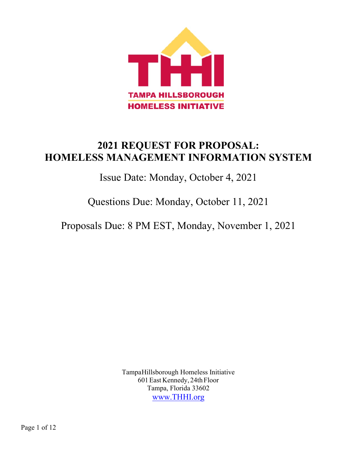

# **2021 REQUEST FOR PROPOSAL: HOMELESS MANAGEMENT INFORMATION SYSTEM**

Issue Date: Monday, October 4, 2021

Questions Due: Monday, October 11, 2021

Proposals Due: 8 PM EST, Monday, November 1, 2021

TampaHillsborough Homeless Initiative 601East Kennedy, 24thFloor Tampa, Florida 33602 www.THHI.org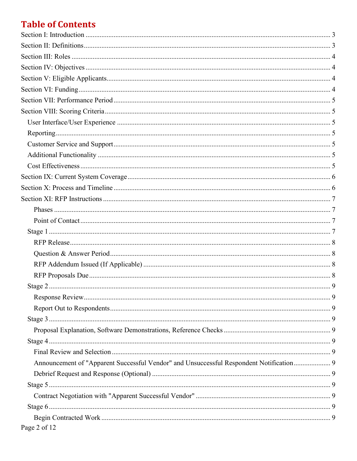# **Table of Contents**

| Announcement of "Apparent Successful Vendor" and Unsuccessful Respondent Notification 9 |  |
|-----------------------------------------------------------------------------------------|--|
|                                                                                         |  |
|                                                                                         |  |
|                                                                                         |  |
|                                                                                         |  |
|                                                                                         |  |
| Page 2 of 12                                                                            |  |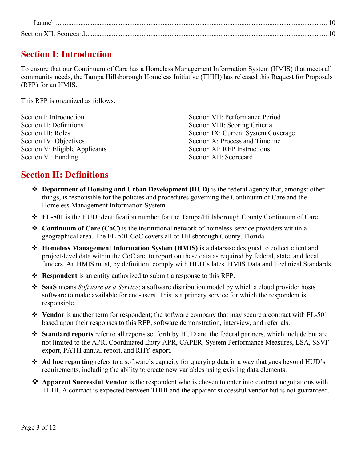# <span id="page-2-0"></span>**Section I: Introduction**

To ensure that our Continuum of Care has a Homeless Management Information System (HMIS) that meets all community needs, the Tampa Hillsborough Homeless Initiative (THHI) has released this Request for Proposals (RFP) for an HMIS.

This RFP is organized as follows:

| Section I: Introduction        | Section VII: Performance Period     |
|--------------------------------|-------------------------------------|
| Section II: Definitions        | Section VIII: Scoring Criteria      |
| Section III: Roles             | Section IX: Current System Coverage |
| Section IV: Objectives         | Section X: Process and Timeline     |
| Section V: Eligible Applicants | Section XI: RFP Instructions        |
| Section VI: Funding            | Section XII: Scorecard              |

## <span id="page-2-1"></span>**Section II: Definitions**

- **Department of Housing and Urban Development (HUD)** is the federal agency that, amongst other things, is responsible for the policies and procedures governing the Continuum of Care and the Homeless Management Information System.
- **FL-501** is the HUD identification number for the Tampa/Hillsborough County Continuum of Care.
- **Continuum of Care (CoC)** is the institutional network of homeless-service providers within a geographical area. The FL-501 CoC covers all of Hillsborough County, Florida.
- **Homeless Management Information System (HMIS)** is a database designed to collect client and project-level data within the CoC and to report on these data as required by federal, state, and local funders. An HMIS must, by definition, comply with HUD's latest HMIS Data and Technical Standards.
- **Respondent** is an entity authorized to submit a response to this RFP.
- **SaaS** means *Software as a Service*; a software distribution model by which a cloud provider hosts software to make available for end-users. This is a primary service for which the respondent is responsible.
- **Vendor** is another term for respondent; the software company that may secure a contract with FL-501 based upon their responses to this RFP, software demonstration, interview, and referrals.
- **Standard reports** refer to all reports set forth by HUD and the federal partners, which include but are not limited to the APR, Coordinated Entry APR, CAPER, System Performance Measures, LSA, SSVF export, PATH annual report, and RHY export.
- **Ad hoc reporting** refers to a software's capacity for querying data in a way that goes beyond HUD's requirements, including the ability to create new variables using existing data elements.
- **Apparent Successful Vendor** is the respondent who is chosen to enter into contract negotiations with THHI. A contract is expected between THHI and the apparent successful vendor but is not guaranteed.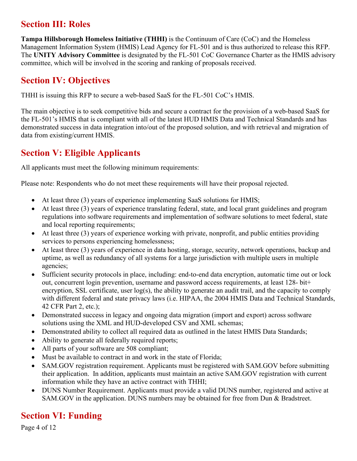## <span id="page-3-0"></span>**Section III: Roles**

**Tampa Hillsborough Homeless Initiative (THHI)** is the Continuum of Care (CoC) and the Homeless Management Information System (HMIS) Lead Agency for FL-501 and is thus authorized to release this RFP. The **UNITY Advisory Committee** is designated by the FL-501 CoC Governance Charter as the HMIS advisory committee, which will be involved in the scoring and ranking of proposals received.

# <span id="page-3-1"></span>**Section IV: Objectives**

THHI is issuing this RFP to secure a web-based SaaS for the FL-501 CoC's HMIS.

The main objective is to seek competitive bids and secure a contract for the provision of a web-based SaaS for the FL-501's HMIS that is compliant with all of the latest HUD HMIS Data and Technical Standards and has demonstrated success in data integration into/out of the proposed solution, and with retrieval and migration of data from existing/current HMIS.

# <span id="page-3-2"></span>**Section V: Eligible Applicants**

All applicants must meet the following minimum requirements:

Please note: Respondents who do not meet these requirements will have their proposal rejected.

- At least three (3) years of experience implementing SaaS solutions for HMIS;
- At least three (3) years of experience translating federal, state, and local grant guidelines and program regulations into software requirements and implementation of software solutions to meet federal, state and local reporting requirements;
- At least three (3) years of experience working with private, nonprofit, and public entities providing services to persons experiencing homelessness;
- At least three (3) years of experience in data hosting, storage, security, network operations, backup and uptime, as well as redundancy of all systems for a large jurisdiction with multiple users in multiple agencies;
- Sufficient security protocols in place, including: end-to-end data encryption, automatic time out or lock out, concurrent login prevention, username and password access requirements, at least 128- bit+ encryption, SSL certificate, user log(s), the ability to generate an audit trail, and the capacity to comply with different federal and state privacy laws (i.e. HIPAA, the 2004 HMIS Data and Technical Standards, 42 CFR Part 2, etc.);
- Demonstrated success in legacy and ongoing data migration (import and export) across software solutions using the XML and HUD-developed CSV and XML schemas;
- Demonstrated ability to collect all required data as outlined in the latest HMIS Data Standards;
- Ability to generate all federally required reports;
- All parts of your software are 508 compliant;
- Must be available to contract in and work in the state of Florida;
- SAM.GOV registration requirement. Applicants must be registered with SAM.GOV before submitting their application. In addition, applicants must maintain an active SAM.GOV registration with current information while they have an active contract with THHI;
- DUNS Number Requirement. Applicants must provide a valid DUNS number, registered and active at SAM.GOV in the application. DUNS numbers may be obtained for free from Dun & Bradstreet.

# <span id="page-3-3"></span>**Section VI: Funding**

Page 4 of 12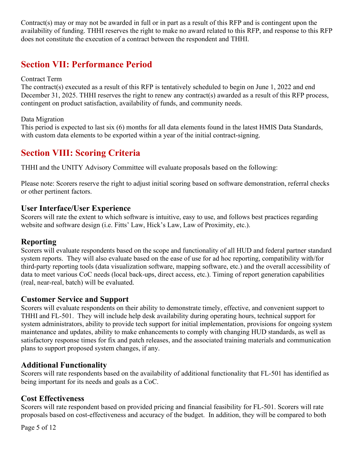<span id="page-4-0"></span>Contract(s) may or may not be awarded in full or in part as a result of this RFP and is contingent upon the availability of funding. THHI reserves the right to make no award related to this RFP, and response to this RFP does not constitute the execution of a contract between the respondent and THHI.

## **Section VII: Performance Period**

#### Contract Term

The contract(s) executed as a result of this RFP is tentatively scheduled to begin on June 1, 2022 and end December 31, 2025. THHI reserves the right to renew any contract(s) awarded as a result of this RFP process, contingent on product satisfaction, availability of funds, and community needs.

#### Data Migration

This period is expected to last six (6) months for all data elements found in the latest HMIS Data Standards, with custom data elements to be exported within a year of the initial contract-signing.

## <span id="page-4-1"></span>**Section VIII: Scoring Criteria**

THHI and the UNITY Advisory Committee will evaluate proposals based on the following:

Please note: Scorers reserve the right to adjust initial scoring based on software demonstration, referral checks or other pertinent factors.

### <span id="page-4-2"></span>**User Interface/User Experience**

Scorers will rate the extent to which software is intuitive, easy to use, and follows best practices regarding website and software design (i.e. Fitts' Law, Hick's Law, Law of Proximity, etc.).

### <span id="page-4-3"></span>**Reporting**

Scorers will evaluate respondents based on the scope and functionality of all HUD and federal partner standard system reports. They will also evaluate based on the ease of use for ad hoc reporting, compatibility with/for third-party reporting tools (data visualization software, mapping software, etc.) and the overall accessibility of data to meet various CoC needs (local back-ups, direct access, etc.). Timing of report generation capabilities (real, near-real, batch) will be evaluated.

### <span id="page-4-4"></span>**Customer Service and Support**

Scorers will evaluate respondents on their ability to demonstrate timely, effective, and convenient support to THHI and FL-501. They will include help desk availability during operating hours, technical support for system administrators, ability to provide tech support for initial implementation, provisions for ongoing system maintenance and updates, ability to make enhancements to comply with changing HUD standards, as well as satisfactory response times for fix and patch releases, and the associated training materials and communication plans to support proposed system changes, if any.

### <span id="page-4-5"></span>**Additional Functionality**

Scorers will rate respondents based on the availability of additional functionality that FL-501 has identified as being important for its needs and goals as a CoC.

### <span id="page-4-6"></span>**Cost Effectiveness**

Scorers will rate respondent based on provided pricing and financial feasibility for FL-501. Scorers will rate proposals based on cost-effectiveness and accuracy of the budget. In addition, they will be compared to both

Page 5 of 12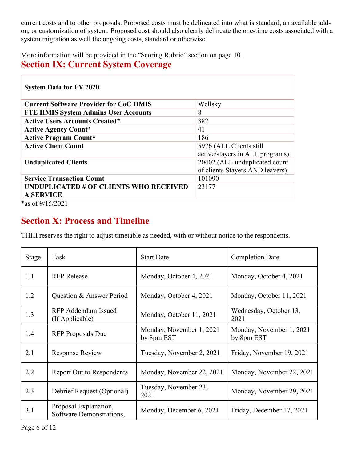current costs and to other proposals. Proposed costs must be delineated into what is standard, an available addon, or customization of system. Proposed cost should also clearly delineate the one-time costs associated with a system migration as well the ongoing costs, standard or otherwise.

More information will be provided in the "Scoring Rubric" section on page 10.

## <span id="page-5-0"></span>**Section IX: Current System Coverage**

| <b>System Data for FY 2020</b>                             |                                 |  |
|------------------------------------------------------------|---------------------------------|--|
| <b>Current Software Provider for CoC HMIS</b>              | Wellsky                         |  |
| <b>FTE HMIS System Admins User Accounts</b>                | 8                               |  |
| <b>Active Users Accounts Created*</b>                      | 382                             |  |
| <b>Active Agency Count*</b>                                | 41                              |  |
| <b>Active Program Count*</b>                               | 186                             |  |
| <b>Active Client Count</b>                                 | 5976 (ALL Clients still         |  |
|                                                            | active/stayers in ALL programs) |  |
| <b>Unduplicated Clients</b>                                | 20402 (ALL unduplicated count   |  |
|                                                            | of clients Stayers AND leavers) |  |
| <b>Service Transaction Count</b>                           | 101090                          |  |
| UNDUPLICATED # OF CLIENTS WHO RECEIVED<br><b>A SERVICE</b> | 23177                           |  |
| $*_{0.0}$ of 0/15/2021                                     |                                 |  |

\*as of 9/15/2021

# <span id="page-5-1"></span>**Section X: Process and Timeline**

THHI reserves the right to adjust timetable as needed, with or without notice to the respondents.

| Stage | Task                                              | <b>Start Date</b>                      | <b>Completion Date</b>                 |
|-------|---------------------------------------------------|----------------------------------------|----------------------------------------|
| 1.1   | <b>RFP</b> Release                                | Monday, October 4, 2021                | Monday, October 4, 2021                |
| 1.2   | Question & Answer Period                          | Monday, October 4, 2021                | Monday, October 11, 2021               |
| 1.3   | RFP Addendum Issued<br>(If Applicable)            | Monday, October 11, 2021               | Wednesday, October 13,<br>2021         |
| 1.4   | <b>RFP</b> Proposals Due                          | Monday, November 1, 2021<br>by 8pm EST | Monday, November 1, 2021<br>by 8pm EST |
| 2.1   | Response Review                                   | Tuesday, November 2, 2021              | Friday, November 19, 2021              |
| 2.2   | <b>Report Out to Respondents</b>                  | Monday, November 22, 2021              | Monday, November 22, 2021              |
| 2.3   | Debrief Request (Optional)                        | Tuesday, November 23,<br>2021          | Monday, November 29, 2021              |
| 3.1   | Proposal Explanation,<br>Software Demonstrations, | Monday, December 6, 2021               | Friday, December 17, 2021              |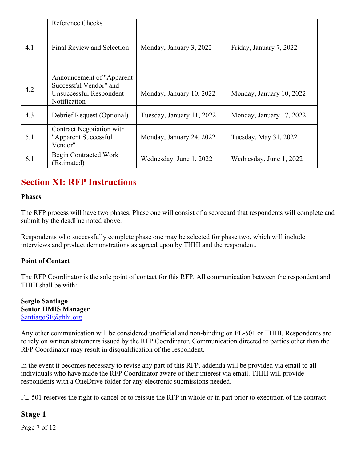|     | Reference Checks                                                                                |                           |                          |
|-----|-------------------------------------------------------------------------------------------------|---------------------------|--------------------------|
| 4.1 | Final Review and Selection                                                                      | Monday, January 3, 2022   | Friday, January 7, 2022  |
| 4.2 | Announcement of "Apparent"<br>Successful Vendor" and<br>Unsuccessful Respondent<br>Notification | Monday, January 10, 2022  | Monday, January 10, 2022 |
| 4.3 | Debrief Request (Optional)                                                                      | Tuesday, January 11, 2022 | Monday, January 17, 2022 |
| 5.1 | Contract Negotiation with<br>"Apparent Successful<br>Vendor"                                    | Monday, January 24, 2022  | Tuesday, May 31, 2022    |
| 6.1 | Begin Contracted Work<br>(Estimated)                                                            | Wednesday, June 1, 2022   | Wednesday, June 1, 2022  |

# <span id="page-6-0"></span>**Section XI: RFP Instructions**

#### <span id="page-6-1"></span>**Phases**

The RFP process will have two phases. Phase one will consist of a scorecard that respondents will complete and submit by the deadline noted above.

Respondents who successfully complete phase one may be selected for phase two, which will include interviews and product demonstrations as agreed upon by THHI and the respondent.

#### <span id="page-6-2"></span>**Point of Contact**

The RFP Coordinator is the sole point of contact for this RFP. All communication between the respondent and THHI shall be with:

**Sergio Santiago Senior HMIS Manager** [SantiagoSE@thhi.org](mailto:SantiagoSE@thhi.org?subject=2021%20HMIS%20RFP) 

Any other communication will be considered unofficial and non-binding on FL-501 or THHI. Respondents are to rely on written statements issued by the RFP Coordinator. Communication directed to parties other than the RFP Coordinator may result in disqualification of the respondent.

In the event it becomes necessary to revise any part of this RFP, addenda will be provided via email to all individuals who have made the RFP Coordinator aware of their interest via email. THHI will provide respondents with a OneDrive folder for any electronic submissions needed.

FL-501 reserves the right to cancel or to reissue the RFP in whole or in part prior to execution of the contract.

## <span id="page-6-3"></span>**Stage 1**

Page 7 of 12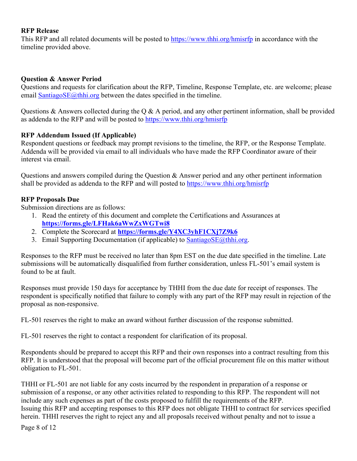#### <span id="page-7-0"></span>**RFP Release**

This RFP and all related documents will be posted to<https://www.thhi.org/hmisrfp> in accordance with the timeline provided above.

#### <span id="page-7-1"></span>**Question & Answer Period**

Questions and requests for clarification about the RFP, Timeline, Response Template, etc. are welcome; please email [SantiagoSE@thhi.org](mailto:SantiagoSE@thhi.org?subject=2021%20HMIS%20RFP) between the dates specified in the timeline.

Questions & Answers collected during the Q & A period, and any other pertinent information, shall be provided as addenda to the RFP and will be posted to<https://www.thhi.org/hmisrfp>

#### <span id="page-7-2"></span>**RFP Addendum Issued (If Applicable)**

Respondent questions or feedback may prompt revisions to the timeline, the RFP, or the Response Template. Addenda will be provided via email to all individuals who have made the RFP Coordinator aware of their interest via email.

Questions and answers compiled during the Question & Answer period and any other pertinent information shall be provided as addenda to the RFP and will posted to<https://www.thhi.org/hmisrfp>

### <span id="page-7-3"></span>**RFP Proposals Due**

Submission directions are as follows:

- 1. Read the entirety of this document and complete the Certifications and Assurances at **<https://forms.gle/LFHak6aWwZxWGTwi8>**
- 2. Complete the Scorecard at **<https://forms.gle/Y4XC3yhF1CXj7Z9k6>**
- 3. Email Supporting Documentation (if applicable) to  $SantiagoSE(\omega)$ thhi.org.

Responses to the RFP must be received no later than 8pm EST on the due date specified in the timeline. Late submissions will be automatically disqualified from further consideration, unless FL-501's email system is found to be at fault.

Responses must provide 150 days for acceptance by THHI from the due date for receipt of responses. The respondent is specifically notified that failure to comply with any part of the RFP may result in rejection of the proposal as non-responsive.

FL-501 reserves the right to make an award without further discussion of the response submitted.

FL-501 reserves the right to contact a respondent for clarification of its proposal.

Respondents should be prepared to accept this RFP and their own responses into a contract resulting from this RFP. It is understood that the proposal will become part of the official procurement file on this matter without obligation to FL-501.

THHI or FL-501 are not liable for any costs incurred by the respondent in preparation of a response or submission of a response, or any other activities related to responding to this RFP. The respondent will not include any such expenses as part of the costs proposed to fulfill the requirements of the RFP. Issuing this RFP and accepting responses to this RFP does not obligate THHI to contract for services specified herein. THHI reserves the right to reject any and all proposals received without penalty and not to issue a

Page 8 of 12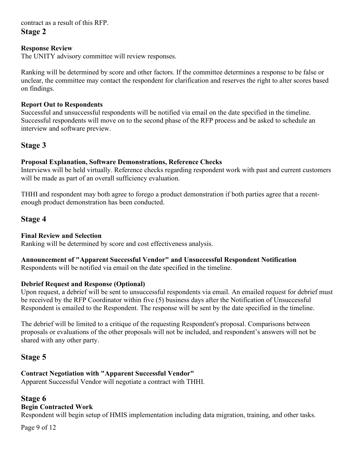<span id="page-8-0"></span>contract as a result of this RFP.

**Stage 2** 

### <span id="page-8-1"></span>**Response Review**

The UNITY advisory committee will review responses.

Ranking will be determined by score and other factors. If the committee determines a response to be false or unclear, the committee may contact the respondent for clarification and reserves the right to alter scores based on findings.

### <span id="page-8-2"></span>**Report Out to Respondents**

Successful and unsuccessful respondents will be notified via email on the date specified in the timeline. Successful respondents will move on to the second phase of the RFP process and be asked to schedule an interview and software preview.

## <span id="page-8-3"></span>**Stage 3**

### <span id="page-8-4"></span>**Proposal Explanation, Software Demonstrations, Reference Checks**

Interviews will be held virtually. Reference checks regarding respondent work with past and current customers will be made as part of an overall sufficiency evaluation.

THHI and respondent may both agree to forego a product demonstration if both parties agree that a recentenough product demonstration has been conducted.

## <span id="page-8-5"></span>**Stage 4**

#### <span id="page-8-6"></span>**Final Review and Selection**

Ranking will be determined by score and cost effectiveness analysis.

## <span id="page-8-7"></span>**Announcement of "Apparent Successful Vendor" and Unsuccessful Respondent Notification**

Respondents will be notified via email on the date specified in the timeline.

#### <span id="page-8-8"></span>**Debrief Request and Response (Optional)**

Upon request, a debrief will be sent to unsuccessful respondents via email. An emailed request for debrief must be received by the RFP Coordinator within five (5) business days after the Notification of Unsuccessful Respondent is emailed to the Respondent. The response will be sent by the date specified in the timeline.

The debrief will be limited to a critique of the requesting Respondent's proposal. Comparisons between proposals or evaluations of the other proposals will not be included, and respondent's answers will not be shared with any other party.

## <span id="page-8-9"></span>**Stage 5**

### <span id="page-8-10"></span>**Contract Negotiation with "Apparent Successful Vendor"**

Apparent Successful Vendor will negotiate a contract with THHI.

## <span id="page-8-11"></span>**Stage 6**

### <span id="page-8-12"></span>**Begin Contracted Work**

Respondent will begin setup of HMIS implementation including data migration, training, and other tasks.

Page 9 of 12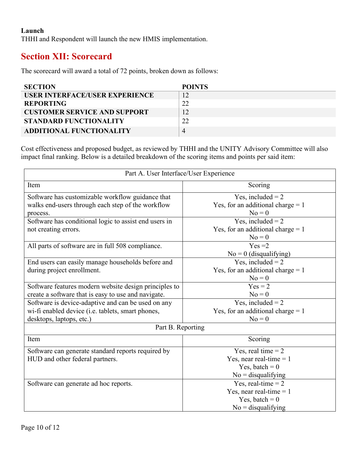#### <span id="page-9-0"></span>**Launch**

THHI and Respondent will launch the new HMIS implementation.

## <span id="page-9-1"></span>**Section XII: Scorecard**

The scorecard will award a total of 72 points, broken down as follows:

| <b>SECTION</b>                      | <b>POINTS</b> |
|-------------------------------------|---------------|
| USER INTERFACE/USER EXPERIENCE      |               |
| <b>REPORTING</b>                    | 22            |
| <b>CUSTOMER SERVICE AND SUPPORT</b> |               |
| <b>STANDARD FUNCTIONALITY</b>       |               |
| <b>ADDITIONAL FUNCTIONALITY</b>     | 4             |

Cost effectiveness and proposed budget, as reviewed by THHI and the UNITY Advisory Committee will also impact final ranking. Below is a detailed breakdown of the scoring items and points per said item:

| Part A. User Interface/User Experience                |                                     |  |
|-------------------------------------------------------|-------------------------------------|--|
| Item                                                  | Scoring                             |  |
| Software has customizable workflow guidance that      | $\overline{Y}$ es, included = 2     |  |
| walks end-users through each step of the workflow     | Yes, for an additional charge $= 1$ |  |
| process.                                              | $No = 0$                            |  |
| Software has conditional logic to assist end users in | Yes, included $= 2$                 |  |
| not creating errors.                                  | Yes, for an additional charge $= 1$ |  |
|                                                       | $No = 0$                            |  |
| All parts of software are in full 508 compliance.     | $Yes = 2$                           |  |
|                                                       | $No = 0$ (disqualifying)            |  |
| End users can easily manage households before and     | Yes, included $= 2$                 |  |
| during project enrollment.                            | Yes, for an additional charge $= 1$ |  |
|                                                       | $No = 0$                            |  |
| Software features modern website design principles to | $Yes = 2$                           |  |
| create a software that is easy to use and navigate.   | $No = 0$                            |  |
| Software is device-adaptive and can be used on any    | Yes, included $= 2$                 |  |
| wi-fi enabled device (i.e. tablets, smart phones,     | Yes, for an additional charge $= 1$ |  |
| desktops, laptops, etc.)                              | $No = 0$                            |  |
| Part B. Reporting                                     |                                     |  |
| Item                                                  | Scoring                             |  |
| Software can generate standard reports required by    | Yes, real time $= 2$                |  |
| HUD and other federal partners.                       | Yes, near real-time $= 1$           |  |
|                                                       | Yes, batch = $0$                    |  |
|                                                       | $No =$ disqualifying                |  |
| Software can generate ad hoc reports.                 | Yes, real-time $= 2$                |  |
|                                                       | Yes, near real-time $= 1$           |  |
|                                                       | Yes, batch = $0$                    |  |
|                                                       | $No =$ disqualifying                |  |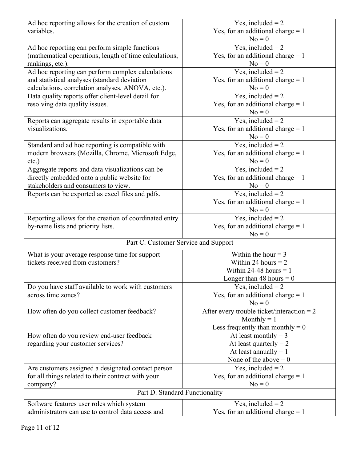| Ad hoc reporting allows for the creation of custom     | Yes, included $= 2$                          |  |
|--------------------------------------------------------|----------------------------------------------|--|
| variables.                                             | Yes, for an additional charge $= 1$          |  |
|                                                        | $No = 0$                                     |  |
| Ad hoc reporting can perform simple functions          | Yes, included $= 2$                          |  |
| (mathematical operations, length of time calculations, | Yes, for an additional charge $= 1$          |  |
| rankings, etc.).                                       | $No = 0$                                     |  |
| Ad hoc reporting can perform complex calculations      | Yes, included $= 2$                          |  |
| and statistical analyses (standard deviation           | Yes, for an additional charge $= 1$          |  |
| calculations, correlation analyses, ANOVA, etc.).      | $No = 0$                                     |  |
| Data quality reports offer client-level detail for     | Yes, included $= 2$                          |  |
| resolving data quality issues.                         | Yes, for an additional charge $= 1$          |  |
|                                                        | $No = 0$                                     |  |
| Reports can aggregate results in exportable data       | Yes, included $= 2$                          |  |
| visualizations.                                        | Yes, for an additional charge $= 1$          |  |
|                                                        | $No = 0$                                     |  |
| Standard and ad hoc reporting is compatible with       | Yes, included $= 2$                          |  |
| modern browsers (Mozilla, Chrome, Microsoft Edge,      | Yes, for an additional charge $= 1$          |  |
| $etc.$ )                                               | $No = 0$                                     |  |
| Aggregate reports and data visualizations can be       | Yes, included $= 2$                          |  |
| directly embedded onto a public website for            | Yes, for an additional charge $= 1$          |  |
| stakeholders and consumers to view.                    | $No = 0$                                     |  |
| Reports can be exported as excel files and pdfs.       | Yes, included $= 2$                          |  |
|                                                        | Yes, for an additional charge $= 1$          |  |
|                                                        | $No = 0$                                     |  |
| Reporting allows for the creation of coordinated entry | Yes, included $= 2$                          |  |
| by-name lists and priority lists.                      | Yes, for an additional charge $= 1$          |  |
|                                                        | $No = 0$                                     |  |
| Part C. Customer Service and Support                   |                                              |  |
| What is your average response time for support         | Within the hour $=$ 3                        |  |
| tickets received from customers?                       | Within 24 hours $= 2$                        |  |
|                                                        | Within 24-48 hours $= 1$                     |  |
|                                                        | Longer than 48 hours $= 0$                   |  |
| Do you have staff available to work with customers     | Yes, included $= 2$                          |  |
| across time zones?                                     | Yes, for an additional charge $= 1$          |  |
|                                                        | $No = 0$                                     |  |
| How often do you collect customer feedback?            | After every trouble ticket/interaction = $2$ |  |
|                                                        | Monthly $= 1$                                |  |
|                                                        | Less frequently than monthly $= 0$           |  |
| How often do you review end-user feedback              | At least monthly = $3$                       |  |
| regarding your customer services?                      | At least quarterly $= 2$                     |  |
|                                                        | At least annually $= 1$                      |  |
|                                                        | None of the above $= 0$                      |  |
| Are customers assigned a designated contact person     | Yes, included $= 2$                          |  |
| for all things related to their contract with your     | Yes, for an additional charge $= 1$          |  |
| company?                                               | $No = 0$                                     |  |
| Part D. Standard Functionality                         |                                              |  |
| Software features user roles which system              | Yes, included $= 2$                          |  |
| administrators can use to control data access and      | Yes, for an additional charge $= 1$          |  |